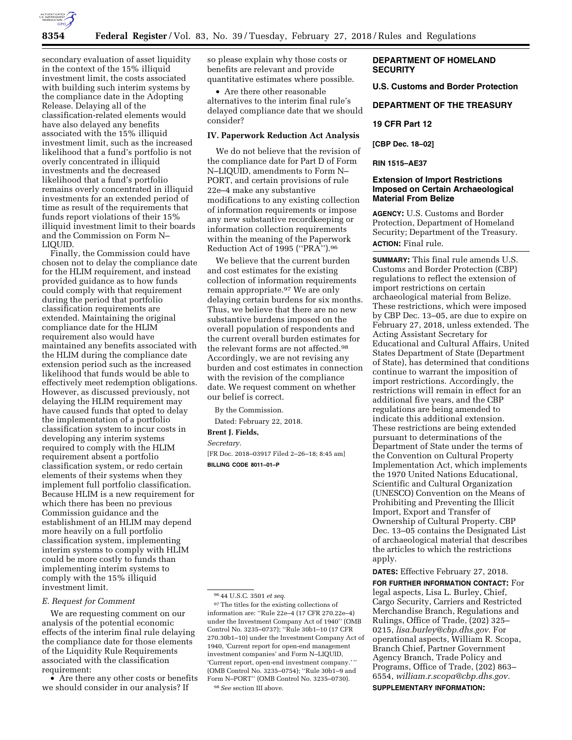

secondary evaluation of asset liquidity in the context of the 15% illiquid investment limit, the costs associated with building such interim systems by the compliance date in the Adopting Release. Delaying all of the classification-related elements would have also delayed any benefits associated with the 15% illiquid investment limit, such as the increased likelihood that a fund's portfolio is not overly concentrated in illiquid investments and the decreased likelihood that a fund's portfolio remains overly concentrated in illiquid investments for an extended period of time as result of the requirements that funds report violations of their 15% illiquid investment limit to their boards and the Commission on Form N– LIQUID.

Finally, the Commission could have chosen not to delay the compliance date for the HLIM requirement, and instead provided guidance as to how funds could comply with that requirement during the period that portfolio classification requirements are extended. Maintaining the original compliance date for the HLIM requirement also would have maintained any benefits associated with the HLIM during the compliance date extension period such as the increased likelihood that funds would be able to effectively meet redemption obligations. However, as discussed previously, not delaying the HLIM requirement may have caused funds that opted to delay the implementation of a portfolio classification system to incur costs in developing any interim systems required to comply with the HLIM requirement absent a portfolio classification system, or redo certain elements of their systems when they implement full portfolio classification. Because HLIM is a new requirement for which there has been no previous Commission guidance and the establishment of an HLIM may depend more heavily on a full portfolio classification system, implementing interim systems to comply with HLIM could be more costly to funds than implementing interim systems to comply with the 15% illiquid investment limit.

#### *E. Request for Comment*

We are requesting comment on our analysis of the potential economic effects of the interim final rule delaying the compliance date for those elements of the Liquidity Rule Requirements associated with the classification requirement:

• Are there any other costs or benefits we should consider in our analysis? If

so please explain why those costs or benefits are relevant and provide quantitative estimates where possible.

• Are there other reasonable alternatives to the interim final rule's delayed compliance date that we should consider?

#### **IV. Paperwork Reduction Act Analysis**

We do not believe that the revision of the compliance date for Part D of Form N–LIQUID, amendments to Form N– PORT, and certain provisions of rule 22e–4 make any substantive modifications to any existing collection of information requirements or impose any new substantive recordkeeping or information collection requirements within the meaning of the Paperwork Reduction Act of 1995 (''PRA'').96

We believe that the current burden and cost estimates for the existing collection of information requirements remain appropriate.97 We are only delaying certain burdens for six months. Thus, we believe that there are no new substantive burdens imposed on the overall population of respondents and the current overall burden estimates for the relevant forms are not affected.<sup>98</sup> Accordingly, we are not revising any burden and cost estimates in connection with the revision of the compliance date. We request comment on whether our belief is correct.

By the Commission.

Dated: February 22, 2018.

**Brent J. Fields,** 

*Secretary.* 

[FR Doc. 2018–03917 Filed 2–26–18; 8:45 am] **BILLING CODE 8011–01–P** 

# **DEPARTMENT OF HOMELAND SECURITY**

**U.S. Customs and Border Protection** 

**DEPARTMENT OF THE TREASURY** 

# **19 CFR Part 12**

**[CBP Dec. 18–02]** 

# **RIN 1515–AE37**

# **Extension of Import Restrictions Imposed on Certain Archaeological Material From Belize**

**AGENCY:** U.S. Customs and Border Protection, Department of Homeland Security; Department of the Treasury. **ACTION:** Final rule.

**SUMMARY:** This final rule amends U.S. Customs and Border Protection (CBP) regulations to reflect the extension of import restrictions on certain archaeological material from Belize. These restrictions, which were imposed by CBP Dec. 13–05, are due to expire on February 27, 2018, unless extended. The Acting Assistant Secretary for Educational and Cultural Affairs, United States Department of State (Department of State), has determined that conditions continue to warrant the imposition of import restrictions. Accordingly, the restrictions will remain in effect for an additional five years, and the CBP regulations are being amended to indicate this additional extension. These restrictions are being extended pursuant to determinations of the Department of State under the terms of the Convention on Cultural Property Implementation Act, which implements the 1970 United Nations Educational, Scientific and Cultural Organization (UNESCO) Convention on the Means of Prohibiting and Preventing the Illicit Import, Export and Transfer of Ownership of Cultural Property. CBP Dec. 13–05 contains the Designated List of archaeological material that describes the articles to which the restrictions apply.

**DATES:** Effective February 27, 2018.

**FOR FURTHER INFORMATION CONTACT:** For legal aspects, Lisa L. Burley, Chief, Cargo Security, Carriers and Restricted Merchandise Branch, Regulations and Rulings, Office of Trade, (202) 325– 0215, *[lisa.burley@cbp.dhs.gov.](mailto:lisa.burley@cbp.dhs.gov)* For operational aspects, William R. Scopa, Branch Chief, Partner Government Agency Branch, Trade Policy and Programs, Office of Trade, (202) 863– 6554, *[william.r.scopa@cbp.dhs.gov.](mailto:william.r.scopa@cbp.dhs.gov)*  **SUPPLEMENTARY INFORMATION:** 

<sup>96</sup> 44 U.S.C. 3501 *et seq.* 

 $^{97}\mathrm{The}$  titles for the existing collections of information are: ''Rule 22e–4 (17 CFR 270.22e–4) under the Investment Company Act of 1940'' (OMB Control No. 3235–0737); ''Rule 30b1–10 (17 CFR 270.30b1–10) under the Investment Company Act of 1940, 'Current report for open-end management investment companies' and Form N–LIQUID, 'Current report, open-end investment company.' '' (OMB Control No. 3235–0754); ''Rule 30b1–9 and Form N–PORT'' (OMB Control No. 3235–0730). 98*See* section III above.